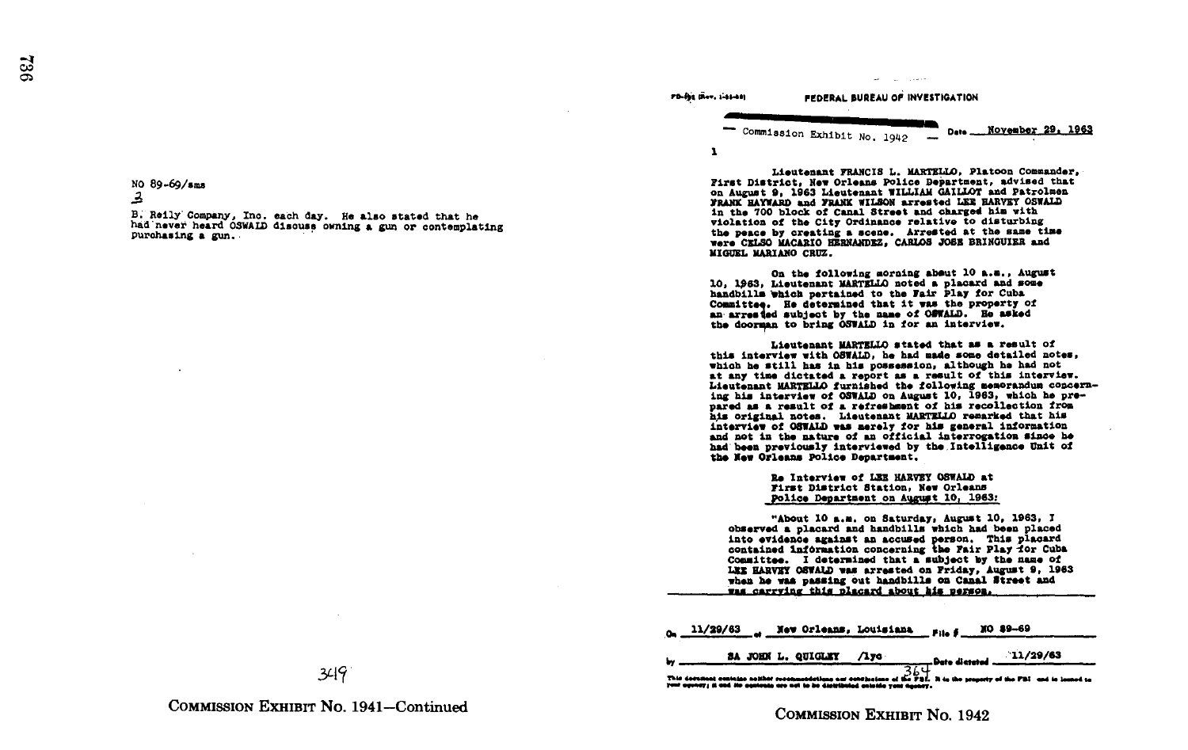No 89-69/sme a

B. Reily Company, Inc. each day. He also stated that he had never heard OSWALD discuss owning a gun or contemplating purchasing a gun.

PD-Bit Dier, 1-88-44) FEDERAL BUREAU OF INVESTIGATION Commission Exhibit No. 1040 \_ Dete \_ November 29, 1963

 $\mathbf{r}$ 

and the control

Lieutenant FRANCIS L. MARTELLO, Platoon Commander, First District, New Orleans Police Department, advised that on August 9, 1963 Lieutenant WILLIAM GAILLOT and Patrolmen FRANK HAYWARD and FRANK WILSON arrested LEE HARVEY OSWALD<br>in the 700 block of Canal Street and charged him with<br>micles of Canal Street and the foldierning violation of the City Ordinance relative to disturbing the peace by creating a scene. Arrested at the same time were CELSO MACARIO HERNANDEZ, CARLOS JOSE BRINGUIER and MIGUEL MARIANO CRUZ .

On the following aorning about 10 a.m., August<br>10. 1963. Lieutenant MARTELLO noted a placard and some 10, 1963, Lieutenant MARTELLO noted a placard and some<br>bandbills which pertained to the Fair Play for Cuba<br>Committee We determined that it was the property of Committee. He determined that it was the property of an arrested subject by the name of ONWALD. He asked the doorman to bring OSWALD in for an interview.

Lieutenant MARTZLDD stated that as a result of this interview with OSWALD, he had made some detailed notes, which he still has in his possession, although he had not at any time dictated a report as a result of this interview. Lieutenant MARTZL1,0 furnished the following memorandum concerning his interview of OSWALD on August 10, 1963, which he pre-<br>pared as a result of a refreshment of his recollection from pared as a result of a refreshment of his recollection from<br>his original notes. Lieutenant MARTZLO remarked that his<br>interview of Ofwill was weakly for his general information interview of OSWALD was merely for his general information<br>and Act in the mature of an official interrogation since he<br>had heem nasyiously interviewed by the Intelligence Unit of had been previously interviewed by the Intelligence Unit of the Mew Orleans Police Department.

> Re Interview of LZZ HARVRY OSWALD at First District Station, Now Orleans Police Department on August 10, 1963:

"About 10 a.m. on Saturday, August 10, 1963, J observed <sup>a</sup> placard and handbills which had been placed into evidence against an accused person. This placard contained information concerning the Fair Play for Cuba<br>Committee. I determined that a subject by the name of Committee. I determined that a subject by the name of<br>LET HARVXY OSWALD vas arrested on Friday, August 9. 1963<br>—Len he was messing out headbille on Canel Staest and when he was passing out handbills on Canal Street and was carrying this placard about his person.

|  |  | $o_n$ 11/29/63 a New Orleans, Louisiana File # 10 89-69 |  |
|--|--|---------------------------------------------------------|--|
|  |  |                                                         |  |

|  | SA JOHN L. QUIGLEY /1yo | 11/29/63<br><b>Date dictated 421/29/63</b>                                                                                                    |
|--|-------------------------|-----------------------------------------------------------------------------------------------------------------------------------------------|
|  |                         |                                                                                                                                               |
|  |                         | This decrease contries solidat reconnectations our continuism $\frac{A_{\rm{D}}}{A_{\rm{B}}}$ is in the measure of the FBI, and is located to |

COMMISSION EXHIBIT No. 1941-Continued

COMMISSION EXHIBIT No. 1942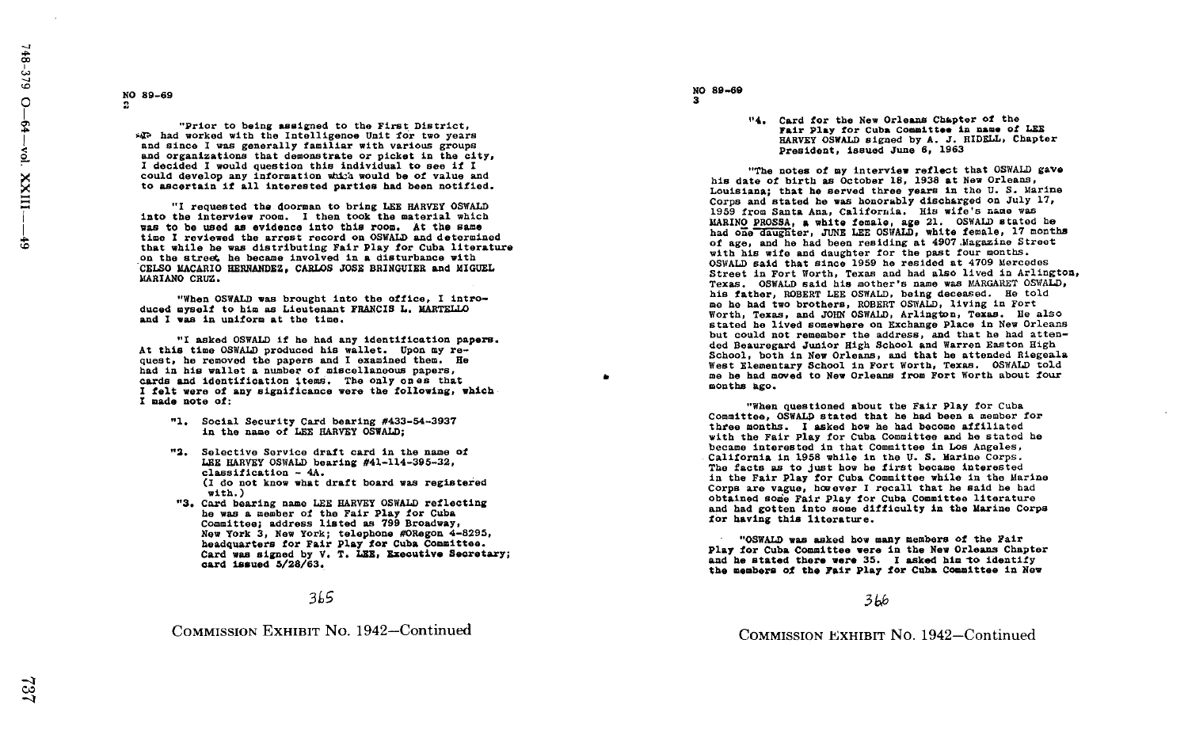# ~O 89-69

"Prior to being assigned to the First District, \*\*\* had worked with the Intelligence Unit for two years and since I was generally familiar with various groups and organizations that demonstrate or picket in the city,<br>I decided I would question this individual to see if I I decided I would question this individual to see if I<br>
in the notes of my interview reflect that OSWALD gave<br>
is date of birth as October 18, 1938 at New Orleans, and the seed of value and the of the value and the value<br> to ascertain if all interested parties had been notified .

The requested the doorman to bring LEE HARVEY OSWALD 1960 from Santa Ana, California. His wife's name was honorably discussive on July 1959 from Santa Ana, California. His wife's name was honorably discussed was not all th was to be us<br>time I revie was to be used as evidence into this room. At the same was to be used as evidence into this room. At the same<br>
the I reviewed the arrest record on OSWALD and determined<br>
that while he was distributing Fair Play for Cuba literature<br>
on the street, he became involved in a distur that while he was distributing Fair Play for Cuba literature

"When OSWALD was brought into the office, <sup>I</sup> intro- his father, ROBERT LEE OSWALD, being deceased . He told and I was in uniform at the time.

At this time OSWALD produced his wallet. Upon my re-<br>quest, he removed the papers and I examined them. He<br>West Elementary School in Fo I asked OSWALD if he had any Identification papers . At this time OSWALD produced his wallet. Upon my re-<br>quest, he removed the papers and I examined them. He<br>West Riementary School in Fort Worth, Texas. OSWALD told result in the second of miscellaneous cases are the community of the second in Fort Worth, Texas. OSWALD told<br>had in his wallet a number of miscellaneous papers, which is a second to be had moved to New Orleans from Fort W cards and identification items. Include the ones that the moved to Now Orleans from Fort Worth about four<br>Cards and identification items. The only ones that felt were of any significance were the following, which modes are months ago. I made note of:

- in the name of LEE HARVEY OSWALD:
- classification  $-4A$ .<br>(I do not know what draft board was registered
- with.)<br>"3. Card bearing name LEE HARVEY OSWALD reflecting he was a member of the Fair Play for Cuba<br>
Committee, address listed as 799 Broadway,<br>
New York 3, New York; telephone #ORegon 4-8295,<br>
New York 3, New York; telephone #ORegon 4-8295,<br>
New York 3, New York; telephone #OReg New York 3. New York: telephone #ORegon 4-8295, card Issued 5/28/63 .

#### 3L5

COMMISSION EXHIBIT No 1942-Continued

#### NO 89-69 3

- 
- "4. Card for the New Orleans Chapter of the Card for the New Orleans Chapter of the<br>Fair Play for Cuba Committee in name of LEE<br>Tinumu Cubile clump by a Bingli Chapt HARVEY OSWALD signed by A. J. RIDELL, Chapter President, issued June 6, 1963

Louisiana; that he served three years in the U.S. Marine<br>Corps and stated he was honorably discharged on July 17, MARINO PROSSA. a white female, age 21. OSWALD stated he age, and he had been residing at 4907 magazine st<br>th his wife and daughter for the past four months. on the street, he became involved in a disturbance with the street of the street in port work was and hat since 1959 he resided at 4709 Mercedes<br>CELSO MACARO HERNANDEZ, CARLOS JOSE BRINGUIER and MIGUEL street in Fort Worth Texas. OSWALD said his mother's name was MARGARET OSWALD, his father, ROBERT LEE OSWALD, being deceased. He told and the music massive to him as Lieutenant FRANCIS L. MARTELLO<br>and I was in uniform at the time.<br>and I was in uniform at the time. Only and JOHN OSWALD, Arlington, Texas, and JOHN OSWALD, Arlington, Texas, Benieu stated he lived somewhere on Exchange Place in New Orleans but could not remember the address, and that he had atten-<br>ded Beauregard Junior High School and Warren Easton High School, both in New Orleans, and that he attended Riegeala

"When questioned about the Fair Play for Cuba -1. Social Security Card bearing #433-54-3937 Committee, OSMALD stated that he had become a memoer for had been a memoer for he had become a filliated that he had become a filliated that he had become a filliated that he h three months. I asked how he had become affiliated he<br>with the Fair Play for Cuba Committee and he stated he<br>hence interested in the Committee in Log Angeles Committee, OSWALD stated that he had been a member for a. Selective Service draft card in the name of the name of the secame interested in that Committee in Los Angeles,<br>LEE HARVEY OSWALD bearing #41-114-395-32, LEE HARVEY OSWALD bearing #41-114-395-32,<br>LEE HARVEY OSWALD bearing #41-114-395-32,<br>classification - 44. the first became interested (Interested in the facts as to just how he first became interested (Interested (Intereste in the Fair Play for Cuba Committee while in the Marine do not know what draft board was registered in the Fair Play for Cuba Committee while in the Marine and the Marine of the Marine of the Marine of the Marine of the Marine of the Marine of the Marine of the Said he had . Th Card bearing name LEE HARVEY OSWALD reflecting the state of the Some Fair Play for Cuba Committee literature<br>he was a member of the Fair Play for Cuba and had a member of the Marine Corps and had gotten into some difficult

headquarters for Fair Play for Cuba Committee.<br>Card was signed by V. T. LEE. Executive Secretary:<br>Card was signed by V. T. LEE. Executive Secretary:<br> Card was signed by V. T. LEE, Executive Secretary;<br>
card issued 5/28/63. I asked him to identify the Now Orleans Chapter Card issued the Now Orleans Chapter<br>
card issued 5/28/63. and he stated there were 35. I asked him to identify<br>the members of the Fair Play for Cuba Committee in New<br>

#### 3 bb

COMMISSION EXHIBIT No. 1942-Continued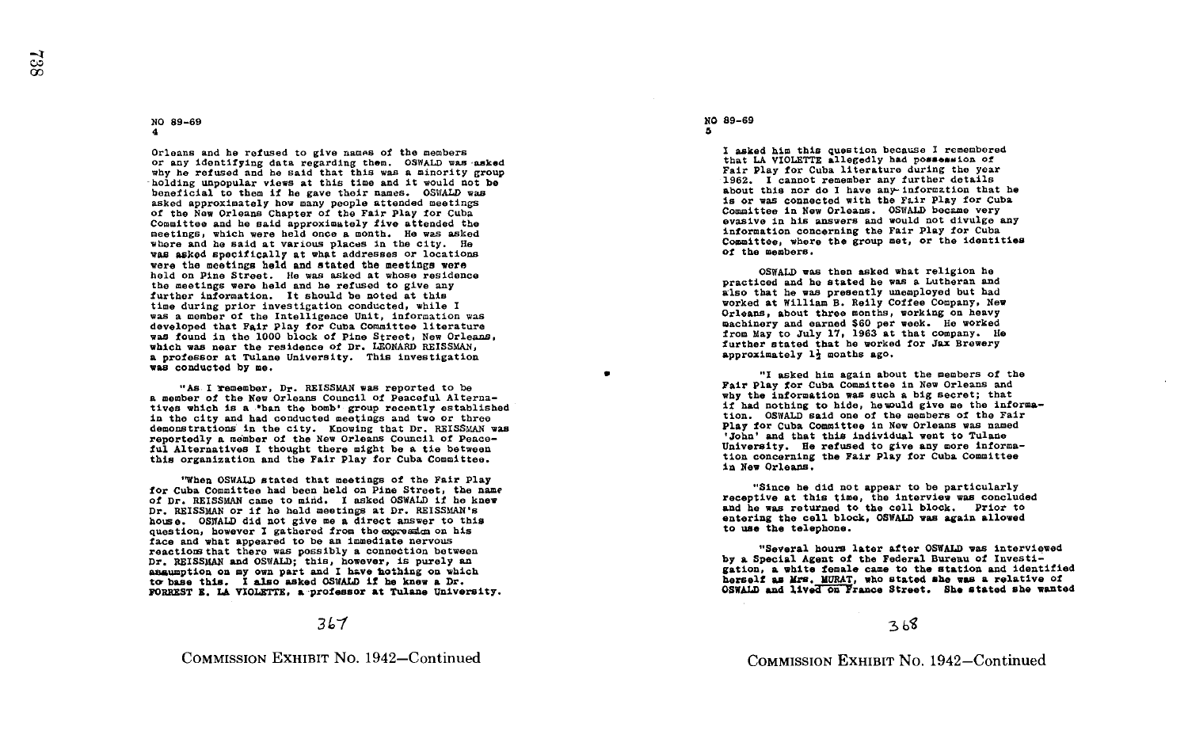#### NO 89-69 4

Orleans and he refused to give names of the members or any identifying data regarding them. OSWALD was asked why he refused and he said that this was a minority group holding unpopular views at this time and it would not be beneficial to them if he gave their names. OSWALD was asked approximately how many people attended meetings of the Now Orleans Chapter of the Fair Play for Cuba Committee and he said approximately five attended the meetings, which were held once <sup>a</sup> month . He was asked where and he said at various places in the city. He was asked specifically at what addresses or locations were the meetings hold and stated the meetings were held on Pine Street. He was asked at whose residence the meetings were held and he refused to give any further information. It should be noted at this further information . It should be noted at this time during prior investigation conducted, while <sup>I</sup> was a member of the Intelligence Unit, information was developed that Fair Play for Cuba Committee literature was found in the 1000 block of Pine Street, New Orleans, which was near the residence of Dr. LEONARD REISSMAN. a professor at Tulane University. This investigation was conducted by me.

"As I remember, Dr. REISSMAN was reported to be a member of the New Orleans Council of Peaceful Alternatives which is a \*ban the bomb' group recently established in the city and had conducted meetings and two or three demonstrations in the city. Knowing that Dr. REISSMAN was reportedly a member of the New Orleans Council of Peaceful Alternatives <sup>I</sup> thought there might be a tie between this organization and the Fair Play for Cuba Committee .

"When OSWALD stated that meetings of the Fair Play for Cuba Committee had been held on Pine Street, the name<br>of Dr. REISSMAN came to mind. I asked OSWALD if he knew Dr. REISSMAN or if he hald meetings at Dr. REISSMAN's Dr. REISSMAN or if he held meetings at Dr. REISSMAN's<br>house. OS3NAD did not give me a direct answer to this<br>question, however I gathered from the excession on his question, however I gathered from the expression on his face and what appeared to be an immediate nervous<br>reactions that there was possibly a connection between reactions that there was possibly a connection between<br>Dr. REISSMAN and OSWALD; this, however, is purely an<br>anouncetion on my own modi is however, this on which assumption on my own part and I have hothing on which to base this. I also asked OSWALD if he knew a Dr. to base this. I also asked OSWALD if he knew a Dr.<br>FORREST E. LA VIOLETTE, a professor at Tulane University.

#### 3 L-1

COMMISSION EXHIBIT No. 1942-Continued

#### NO 89-69

5

0

I asked him this question because I remembered that LA VIOLETTE allegedly had possession of Fair Play for Cuba literature during the year 1962. I cannot remember any further details about this nor do <sup>I</sup> have any-informztion that he is or was connected with the Fair Play for Cuba Committee in New Orleans. OSWALD became very evasive in his answers and would not divulge any information concerning the Fair Play for Cuba information concerning the Fair Play for Cuba<br>Committee, where the group met, or the identities<br>Committee, where of the members .

OSWALD was then asked what religion he<br>practiced and he stated he was a Lutheran and<br>he was a lutheran and also that he was presently unemployed but had worked at William B. Reily Coffee Company, New Orleans, about three months, working on heavy machinery and earned \$60 per week. He worked from May to July 17, 1963 at that company. He further stated that be worked for Jax Brewery approximately  $1\frac{1}{2}$  months ago.

"I asked him again about the members of the Fair Play for Cuba Committee in New Orleans and why the information was such a big secret; that<br>if had nothing to hide, hewould give me the informaif had nothing to hide, hewould give me the informa-<br>tion. OSWALD said one of the members of the Fair<br>The fair of the Members and members Play for Cuba Committee in New Orleans was named 'John' and that this individual went to Tulane University. He refused to give any more information concerning the Fair Play for Cuba Committee in Now Orleans .

"Since he did not appear to be particularly receptive at this time, the interview was concluded and he was returned to the cell block. Prior to entering the cell block, OSWALD was again allowed to use the telephone .

"Several hours later after OSWALD was interviewed by <sup>a</sup> Special Agent of the Federal Bureau of Investigation, <sup>a</sup> white female came to the station and identified herself as Mrs. Mokat, who stated she was a relative of the SSMALD and lived on France Street. She stated she wanted Mrs. MURAT, who stated she was a relative of<br>Mine Tauling Theory of the stated she want

368

COMMISSION EXHIBIT No. 1942-Continued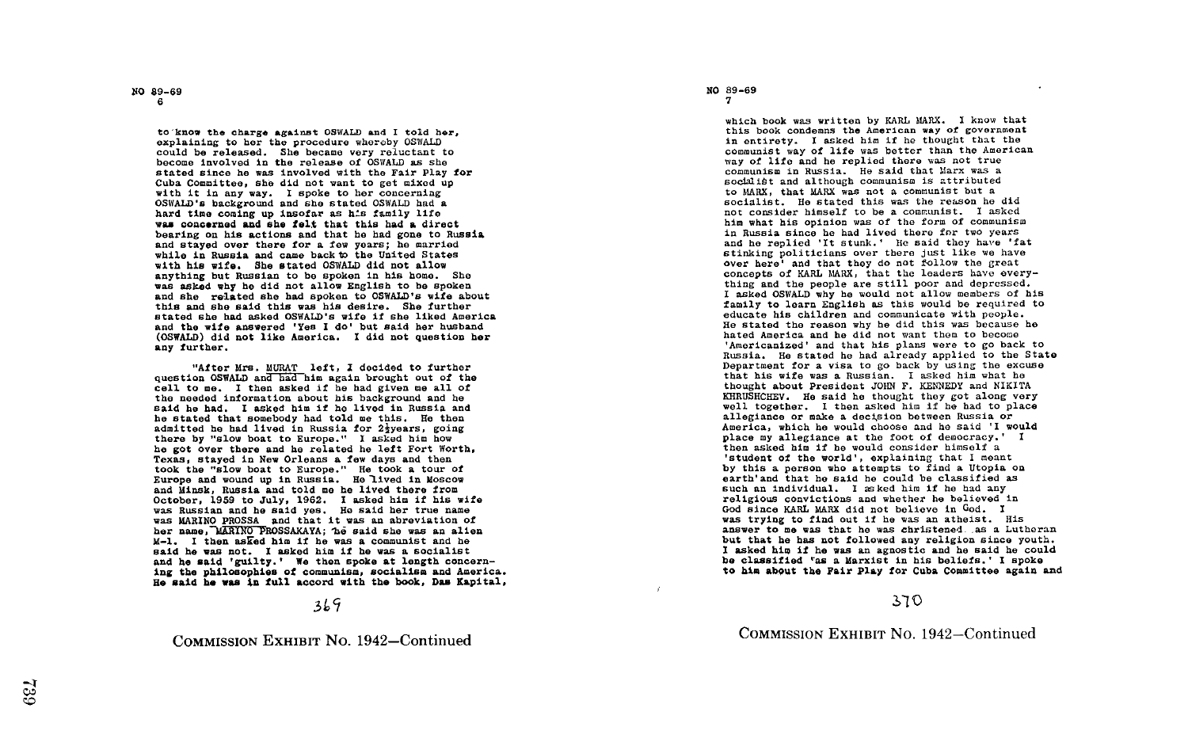NO 89-69 <sup>6</sup>

to know the charge against OSWALD and I told her, explaining to her the procedure whereby OSWALD could be released. She became very reluctant to become involved in the release of OSWALD as she stated since he was involved with the Fair Play for Cuba Committee, she did not want to got mixed up with it in any way. I spoke to her concerning OSWALD's background and she stated OSWALD had a hard time coming up insofar as his family life was concerned and she felt that this had a direct bearing on his actions and that he had gone to Russia and stayed over there for a few years ; he married while in Russia and came back to the United States with his wife. She stated OSWALD did not allow anything but Russian to be spoken in his home. She was asked why he did not allow English to be spoken and she related she had spoken to OSWALD's wife about this and she said this was his desire. She further stated she had asked OSWALD's wife if she liked America and the wife answered 'Yes <sup>I</sup> do' but said her husband (OSWALD) did not like America. I did not question her any further.

"After Mrs. MURAT left, I decided to further question OSWALD and had him again brought out of the cell to me. I then asked if he had given me all of the needed information about his background and he said he had. I asked him if he lived in Russia and he stated that somebody had told me this. He then he stated that somebody had told me this. He then<br>admitted he had lived in Russia for 22years, going there by "slow boat to Europe." I asked him how he got over there and he related he left Fort Worth, Texas, stayed in New Orleans a few days and then<br>took the "slow boat to Europe." He took a tour of took the "slow boat to Europe." He took a tour of<br>Europe and wound up in Russia. He lived in Moscow and Minsk, Russia and told me he lived there from October, 1959 to July, 1962. I asked him if his wife was Russian and he said yes. He said her true name was MARINO PROSSA and that it was an abreviation of her name, MARINO PROSSAKAYA; he said she was an alien M-1. I then asked him if he was a communist and he said he was not. I asked him if he was a socialist<br>and he said 'guilty.' We then spoke at length concern-<br>ing the philosophics of concerning socialism and impute ing the philosophies of communism, socialism and America . He said he was in full accord with the book, Dan Kapital,

# 3L~

COMMISSION EXHIBIT No. 1942-Continued

# NO 89-69 <sup>7</sup>

which book was written by KARL MARX. I know that this book condemns the American way of government in entirety . <sup>I</sup> asked him if he thought that the communist way of life was better than the American way of life and he replied there was not true communism in Russia . He said that Marx was a soeblibt and although communism is attributed to MARX, that MARX was not a communist but a socialist. He stated this was the reason he did not consider himself to be a communist . <sup>I</sup> asked him what his opinion was of the form of communism in Russia since he had lived there for two years and he replied 'It stunk.' He said they have 'fat stinking politicians over there just like we have over here' and that they do not follow the great concepts of KARL MARX, that the leaders have everything and the people are still poor and depressed. <sup>I</sup> asked OSWALD why he would not allow members of his family to learn English as this would be required to educate his children and communicate with people . He stated the reason why he did this was because he hated America and he did not want them to become 'Americanized' and that his plans were to go back to Russia. He stated he had already applied to the State Department for a visa to go back by using the excuse that his wife was a Russian . I asked him what he thought about President JOHN F. KENNEDY and NIKITA<br>KHRUSHCHEV. He said he thought they got along very<br>mell tegethem. I he sked him if he hed to place thought about President JOHN F. KENNEDY and NIKITA well together. I then asked him if he had to place allegiance or make a decision between Russia or America, which he would choose and he said 'I would place my allegiance at the foot of democracy.' I then asked him if he would consider himself a<br>latudent of the would's exploining that I wea 'student of the world', explaining that <sup>I</sup> meant by this a person who attempts to find a Utopia on<br>earth'and that he said he could be classified as<br>cush an individual X seked bin if he bed by such an individual. I asked him if he had any religious convictions and whether he believed in God since KARL MARX did not believe in God. I was trying to find out if he was an atheist. His answer to me was that he was christened as a Lutheran but that he has not followed any religion since youth.<br>I asked him if he was an agnostic and he said he could<br>he classified "as a Marxist in his beliefs." I spoke be classified 'as a Marxist in his beliefs.' I spoke<br>to him about the Fair Play for Cuba Committee again and

# <sup>a</sup>'j 0

COMMISSION EXHIBIT No. 1942-Continued